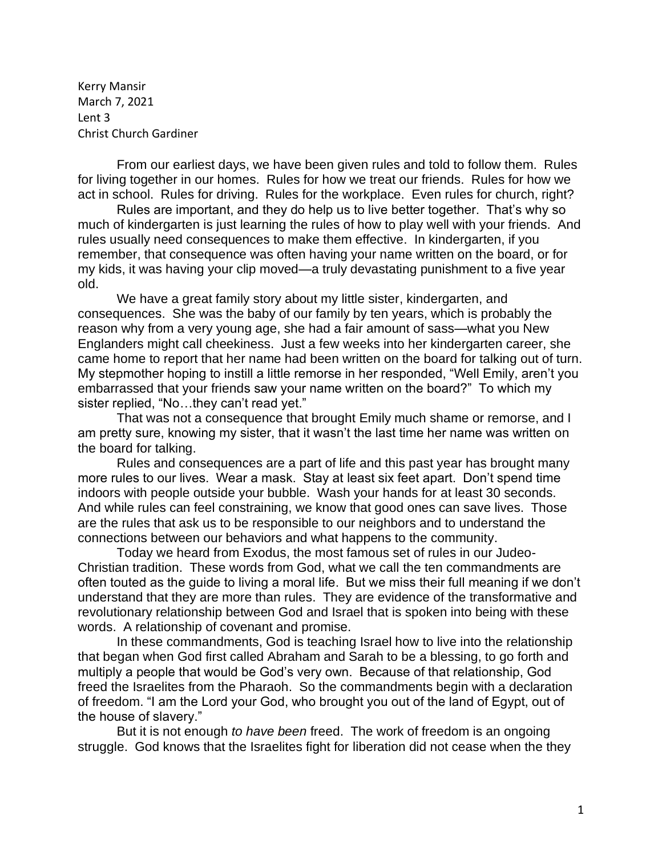Kerry Mansir March 7, 2021 Lent 3 Christ Church Gardiner

From our earliest days, we have been given rules and told to follow them. Rules for living together in our homes. Rules for how we treat our friends. Rules for how we act in school. Rules for driving. Rules for the workplace. Even rules for church, right?

Rules are important, and they do help us to live better together. That's why so much of kindergarten is just learning the rules of how to play well with your friends. And rules usually need consequences to make them effective. In kindergarten, if you remember, that consequence was often having your name written on the board, or for my kids, it was having your clip moved—a truly devastating punishment to a five year old.

We have a great family story about my little sister, kindergarten, and consequences. She was the baby of our family by ten years, which is probably the reason why from a very young age, she had a fair amount of sass—what you New Englanders might call cheekiness. Just a few weeks into her kindergarten career, she came home to report that her name had been written on the board for talking out of turn. My stepmother hoping to instill a little remorse in her responded, "Well Emily, aren't you embarrassed that your friends saw your name written on the board?" To which my sister replied, "No…they can't read yet."

That was not a consequence that brought Emily much shame or remorse, and I am pretty sure, knowing my sister, that it wasn't the last time her name was written on the board for talking.

Rules and consequences are a part of life and this past year has brought many more rules to our lives. Wear a mask. Stay at least six feet apart. Don't spend time indoors with people outside your bubble. Wash your hands for at least 30 seconds. And while rules can feel constraining, we know that good ones can save lives. Those are the rules that ask us to be responsible to our neighbors and to understand the connections between our behaviors and what happens to the community.

Today we heard from Exodus, the most famous set of rules in our Judeo-Christian tradition. These words from God, what we call the ten commandments are often touted as the guide to living a moral life. But we miss their full meaning if we don't understand that they are more than rules. They are evidence of the transformative and revolutionary relationship between God and Israel that is spoken into being with these words. A relationship of covenant and promise.

In these commandments, God is teaching Israel how to live into the relationship that began when God first called Abraham and Sarah to be a blessing, to go forth and multiply a people that would be God's very own. Because of that relationship, God freed the Israelites from the Pharaoh. So the commandments begin with a declaration of freedom. "I am the Lord your God, who brought you out of the land of Egypt, out of the house of slavery."

But it is not enough *to have been* freed. The work of freedom is an ongoing struggle. God knows that the Israelites fight for liberation did not cease when the they